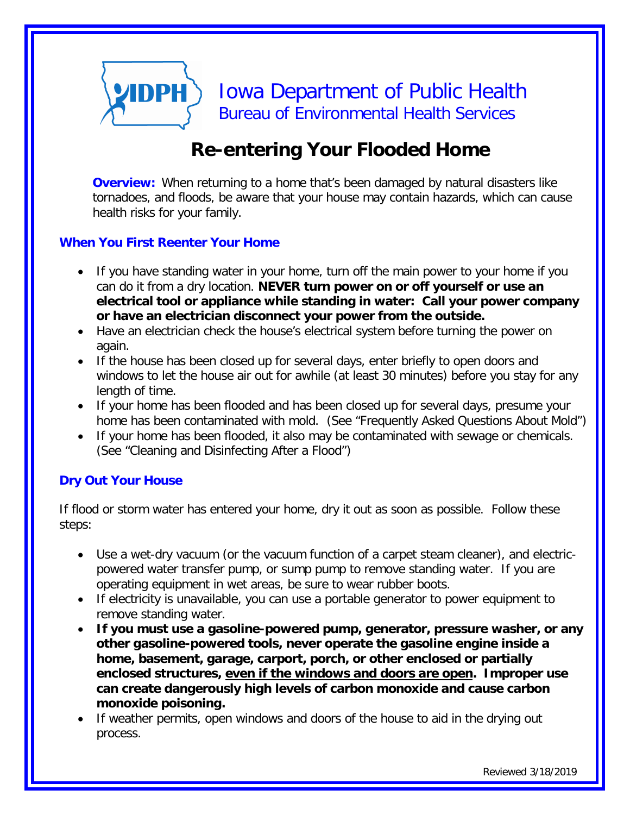# **VIDPH** Iowa Department of Public Health Bureau of Environmental Health Services

## **Re-entering Your Flooded Home**

**Overview:** When returning to a home that's been damaged by natural disasters like tornadoes, and floods, be aware that your house may contain hazards, which can cause health risks for your family.

#### **When You First Reenter Your Home**

- If you have standing water in your home, turn off the main power to your home if you can do it from a dry location. **NEVER turn power on or off yourself or use an electrical tool or appliance while standing in water: Call your power company or have an electrician disconnect your power from the outside.**
- Have an electrician check the house's electrical system before turning the power on again.
- If the house has been closed up for several days, enter briefly to open doors and windows to let the house air out for awhile (at least 30 minutes) before you stay for any length of time.
- If your home has been flooded and has been closed up for several days, presume your home has been contaminated with mold. (See "Frequently Asked Questions About Mold")
- If your home has been flooded, it also may be contaminated with sewage or chemicals. (See "Cleaning and Disinfecting After a Flood")

#### **Dry Out Your House**

If flood or storm water has entered your home, dry it out as soon as possible. Follow these steps:

- Use a wet-dry vacuum (or the vacuum function of a carpet steam cleaner), and electricpowered water transfer pump, or sump pump to remove standing water. If you are operating equipment in wet areas, be sure to wear rubber boots.
- If electricity is unavailable, you can use a portable generator to power equipment to remove standing water.
- **If you must use a gasoline-powered pump, generator, pressure washer, or any other gasoline-powered tools, never operate the gasoline engine inside a home, basement, garage, carport, porch, or other enclosed or partially enclosed structures, even if the windows and doors are open. Improper use can create dangerously high levels of carbon monoxide and cause carbon monoxide poisoning.**
- If weather permits, open windows and doors of the house to aid in the drying out process.